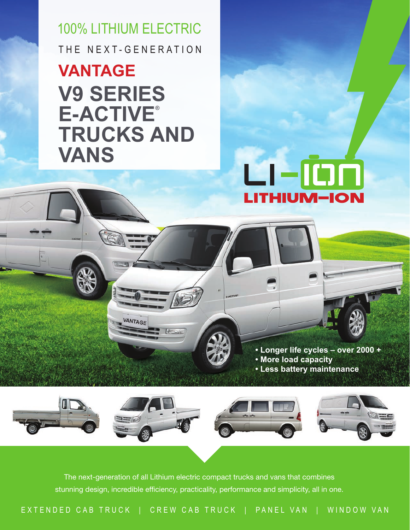THE NEXT-GENERATION 100% LITHIUM ELECTRIC

## **V9 SERIES E-ACTIVE® TRUCKS AND VANS VANTAGE**

VANTAGE

## еею LITHIUM-ION

**• Longer life cycles – over 2000 + • More load capacity • Less battery maintenance**



The next-generation of all Lithium electric compact trucks and vans that combines stunning design, incredible efficiency, practicality, performance and simplicity, all in one.